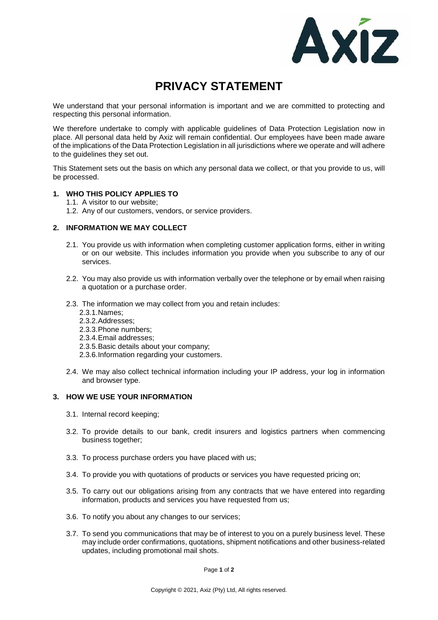

# **PRIVACY STATEMENT**

We understand that your personal information is important and we are committed to protecting and respecting this personal information.

We therefore undertake to comply with applicable guidelines of Data Protection Legislation now in place. All personal data held by Axiz will remain confidential. Our employees have been made aware of the implications of the Data Protection Legislation in all jurisdictions where we operate and will adhere to the guidelines they set out.

This Statement sets out the basis on which any personal data we collect, or that you provide to us, will be processed.

# **1. WHO THIS POLICY APPLIES TO**

- 1.1. A visitor to our website;
- 1.2. Any of our customers, vendors, or service providers.

# **2. INFORMATION WE MAY COLLECT**

- 2.1. You provide us with information when completing customer application forms, either in writing or on our website. This includes information you provide when you subscribe to any of our services.
- 2.2. You may also provide us with information verbally over the telephone or by email when raising a quotation or a purchase order.
- 2.3. The information we may collect from you and retain includes:
	- 2.3.1.Names;
	- 2.3.2.Addresses;
	- 2.3.3.Phone numbers;
	- 2.3.4.Email addresses;
	- 2.3.5.Basic details about your company;
	- 2.3.6.Information regarding your customers.
- 2.4. We may also collect technical information including your IP address, your log in information and browser type.

## **3. HOW WE USE YOUR INFORMATION**

- 3.1. Internal record keeping;
- 3.2. To provide details to our bank, credit insurers and logistics partners when commencing business together;
- 3.3. To process purchase orders you have placed with us;
- 3.4. To provide you with quotations of products or services you have requested pricing on;
- 3.5. To carry out our obligations arising from any contracts that we have entered into regarding information, products and services you have requested from us;
- 3.6. To notify you about any changes to our services;
- 3.7. To send you communications that may be of interest to you on a purely business level. These may include order confirmations, quotations, shipment notifications and other business-related updates, including promotional mail shots.

Page **1** of **2**